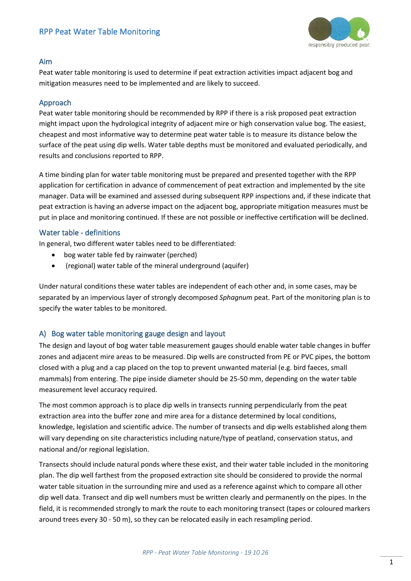

#### Aim

Peat water table monitoring is used to determine if peat extraction activities impact adjacent bog and mitigation measures need to be implemented and are likely to succeed.

### Approach

Peat water table monitoring should be recommended by RPP if there is a risk proposed peat extraction might impact upon the hydrological integrity of adjacent mire or high conservation value bog. The easiest, cheapest and most informative way to determine peat water table is to measure its distance below the surface of the peat using dip wells. Water table depths must be monitored and evaluated periodically, and results and conclusions reported to RPP.

A time binding plan for water table monitoring must be prepared and presented together with the RPP application for certification in advance of commencement of peat extraction and implemented by the site manager. Data will be examined and assessed during subsequent RPP inspections and, if these indicate that peat extraction is having an adverse impact on the adjacent bog, appropriate mitigation measures must be put in place and monitoring continued. If these are not possible or ineffective certification will be declined.

#### Water table - definitions

In general, two different water tables need to be differentiated:

- bog water table fed by rainwater (perched)
- (regional) water table of the mineral underground (aquifer)

Under natural conditions these water tables are independent of each other and, in some cases, may be separated by an impervious layer of strongly decomposed *Sphagnum* peat. Part of the monitoring plan is to specify the water tables to be monitored.

# A) Bog water table monitoring gauge design and layout

The design and layout of bog water table measurement gauges should enable water table changes in buffer zones and adjacent mire areas to be measured. Dip wells are constructed from PE or PVC pipes, the bottom closed with a plug and a cap placed on the top to prevent unwanted material (e.g. bird faeces, small mammals) from entering. The pipe inside diameter should be 25-50 mm, depending on the water table measurement level accuracy required.

The most common approach is to place dip wells in transects running perpendicularly from the peat extraction area into the buffer zone and mire area for a distance determined by local conditions, knowledge, legislation and scientific advice. The number of transects and dip wells established along them will vary depending on site characteristics including nature/type of peatland, conservation status, and national and/or regional legislation.

Transects should include natural ponds where these exist, and their water table included in the monitoring plan. The dip well farthest from the proposed extraction site should be considered to provide the normal water table situation in the surrounding mire and used as a reference against which to compare all other dip well data. Transect and dip well numbers must be written clearly and permanently on the pipes. In the field, it is recommended strongly to mark the route to each monitoring transect (tapes or coloured markers around trees every 30 - 50 m), so they can be relocated easily in each resampling period.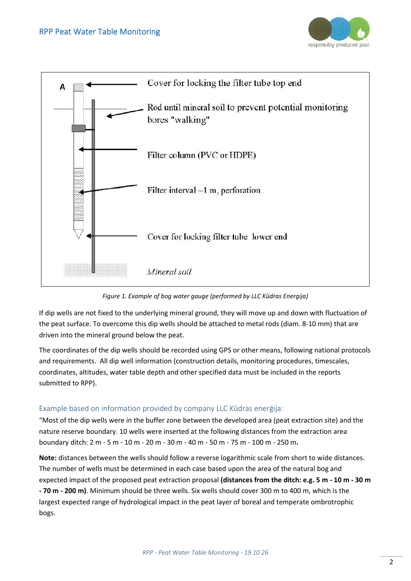



*Figure 1. Example of bog water gauge (performed by LLC Kūdras Energija)*

If dip wells are not fixed to the underlying mineral ground, they will move up and down with fluctuation of the peat surface. To overcome this dip wells should be attached to metal rods (diam. 8-10 mm) that are driven into the mineral ground below the peat.

The coordinates of the dip wells should be recorded using GPS or other means, following national protocols and requirements. All dip well information (construction details, monitoring procedures, timescales, coordinates, altitudes, water table depth and other specified data must be included in the reports submitted to RPP).

# Example based on information provided by company LLC Kūdras enerģija:

"Most of the dip wells were in the buffer zone between the developed area (peat extraction site) and the nature reserve boundary. 10 wells were inserted at the following distances from the extraction area boundary ditch: 2 m - 5 m - 10 m - 20 m - 30 m - 40 m - 50 m - 75 m - 100 m - 250 m**.** 

**Note:** distances between the wells should follow a reverse logarithmic scale from short to wide distances. The number of wells must be determined in each case based upon the area of the natural bog and expected impact of the proposed peat extraction proposal **(distances from the ditch: e.g. 5 m - 10 m - 30 m - 70 m - 200 m)**. Minimum should be three wells. Six wells should cover 300 m to 400 m, which is the largest expected range of hydrological impact in the peat layer of boreal and temperate ombrotrophic bogs.